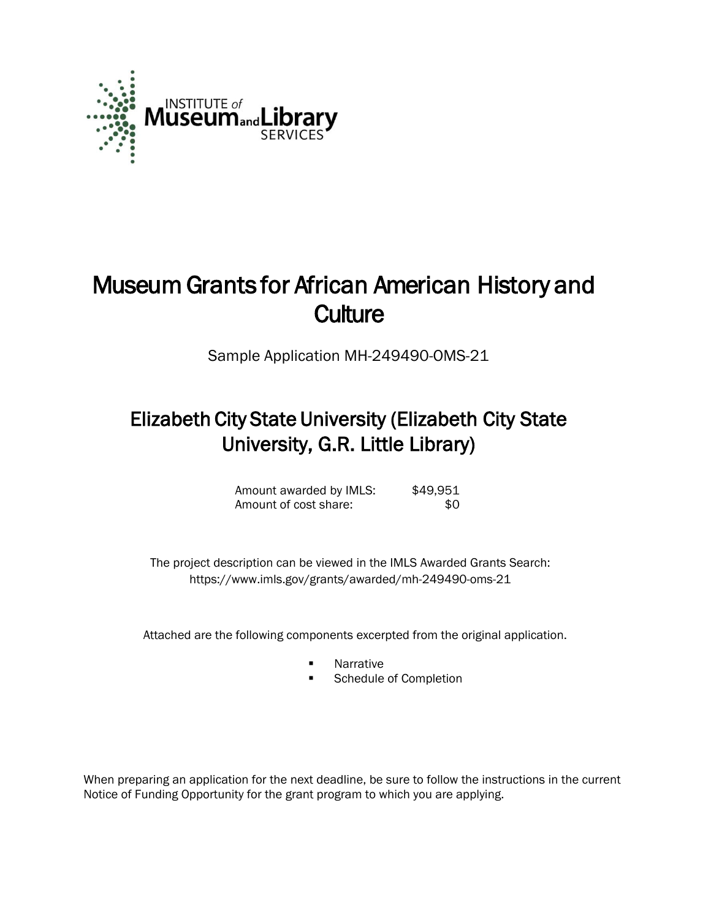

# Museum Grants for African American History and **Culture**

Sample Application MH-249490-OMS-21

## Elizabeth City State University (Elizabeth City State University, G.R. Little Library)

| Amount awarded by IMLS: | \$49,951 |
|-------------------------|----------|
| Amount of cost share:   | -SO.     |

 The project description can be viewed in the IMLS Awarded Grants Search: <https://www.imls.gov/grants/awarded/mh-249490-oms-21>

Attached are the following components excerpted from the original application.

- **Narrative**
- Schedule of Completion

When preparing an application for the next deadline, be sure to follow the instructions in the current Notice of Funding Opportunity for the grant program to which you are applying.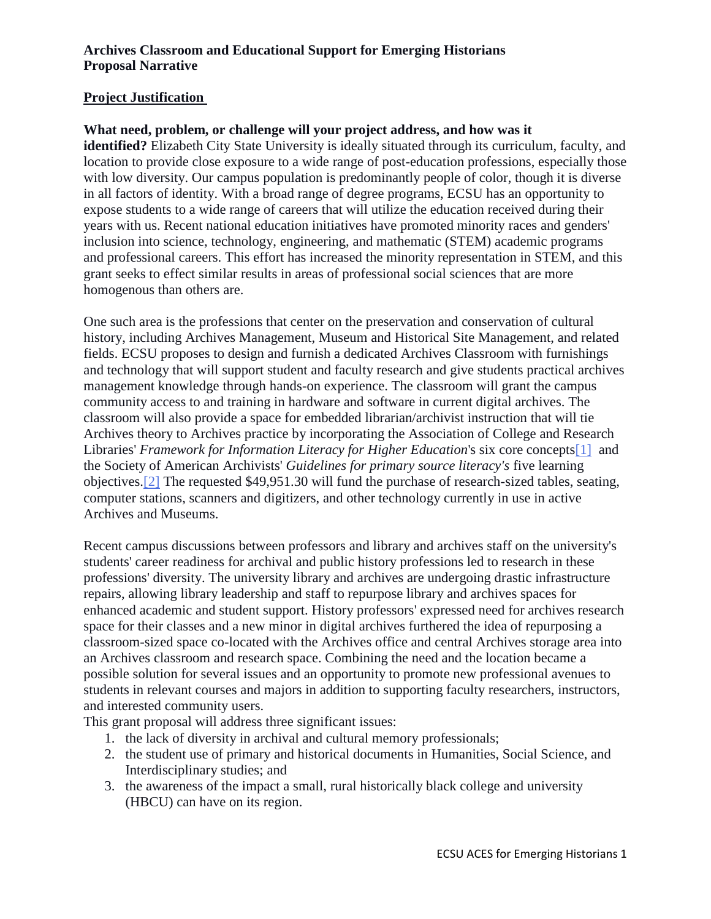## **Project Justification**

## **What need, problem, or challenge will your project address, and how was it**

**identified?** Elizabeth City State University is ideally situated through its curriculum, faculty, and location to provide close exposure to a wide range of post-education professions, especially those with low diversity. Our campus population is predominantly people of color, though it is diverse in all factors of identity. With a broad range of degree programs, ECSU has an opportunity to expose students to a wide range of careers that will utilize the education received during their years with us. Recent national education initiatives have promoted minority races and genders' inclusion into science, technology, engineering, and mathematic (STEM) academic programs and professional careers. This effort has increased the minority representation in STEM, and this grant seeks to effect similar results in areas of professional social sciences that are more homogenous than others are.

One such area is the professions that center on the preservation and conservation of cultural history, including Archives Management, Museum and Historical Site Management, and related fields. ECSU proposes to design and furnish a dedicated Archives Classroom with furnishings and technology that will support student and faculty research and give students practical archives management knowledge through hands-on experience. The classroom will grant the campus community access to and training in hardware and software in current digital archives. The classroom will also provide a space for embedded librarian/archivist instruction that will tie Archives theory to Archives practice by incorporating the Association of College and Research Libraries' *Framework for Information Literacy for Higher Education*'s six core concepts[1] and the Society of American Archivists' *Guidelines for primary source literacy's* five learning objectives.[2] The requested \$49,951.30 will fund the purchase of research-sized tables, seating, computer stations, scanners and digitizers, and other technology currently in use in active Archives and Museums.

Recent campus discussions between professors and library and archives staff on the university's students' career readiness for archival and public history professions led to research in these professions' diversity. The university library and archives are undergoing drastic infrastructure repairs, allowing library leadership and staff to repurpose library and archives spaces for enhanced academic and student support. History professors' expressed need for archives research space for their classes and a new minor in digital archives furthered the idea of repurposing a classroom-sized space co-located with the Archives office and central Archives storage area into an Archives classroom and research space. Combining the need and the location became a possible solution for several issues and an opportunity to promote new professional avenues to students in relevant courses and majors in addition to supporting faculty researchers, instructors, and interested community users.

This grant proposal will address three significant issues:

- 1. the lack of diversity in archival and cultural memory professionals;
- 2. the student use of primary and historical documents in Humanities, Social Science, and Interdisciplinary studies; and
- 3. the awareness of the impact a small, rural historically black college and university (HBCU) can have on its region.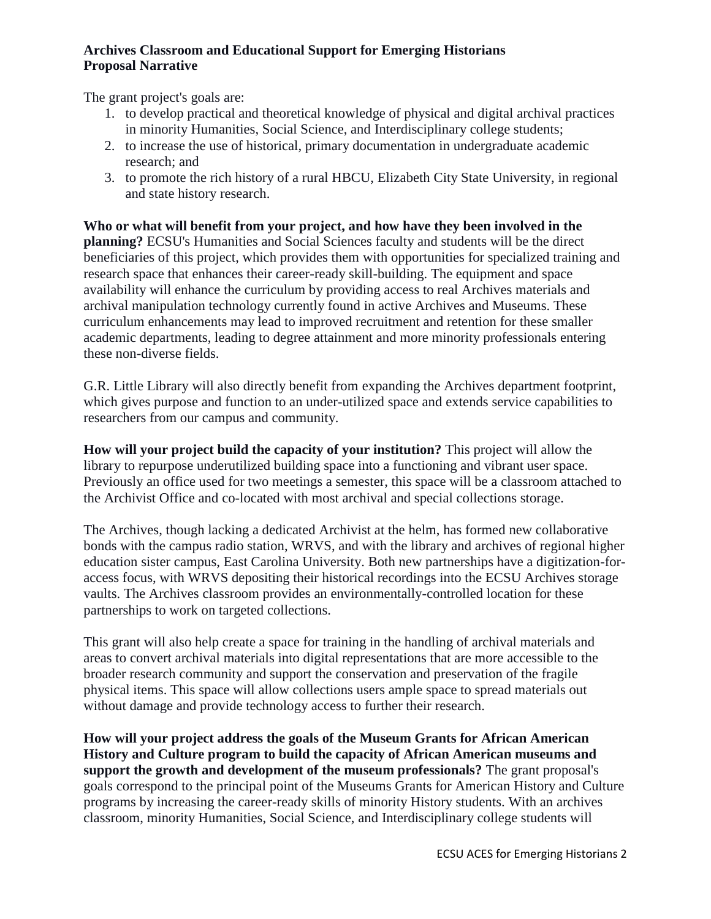The grant project's goals are:

- 1. to develop practical and theoretical knowledge of physical and digital archival practices in minority Humanities, Social Science, and Interdisciplinary college students;
- 2. to increase the use of historical, primary documentation in undergraduate academic research; and
- 3. to promote the rich history of a rural HBCU, Elizabeth City State University, in regional and state history research.

**Who or what will benefit from your project, and how have they been involved in the planning?** ECSU's Humanities and Social Sciences faculty and students will be the direct beneficiaries of this project, which provides them with opportunities for specialized training and research space that enhances their career-ready skill-building. The equipment and space availability will enhance the curriculum by providing access to real Archives materials and archival manipulation technology currently found in active Archives and Museums. These curriculum enhancements may lead to improved recruitment and retention for these smaller academic departments, leading to degree attainment and more minority professionals entering these non-diverse fields.

G.R. Little Library will also directly benefit from expanding the Archives department footprint, which gives purpose and function to an under-utilized space and extends service capabilities to researchers from our campus and community.

**How will your project build the capacity of your institution?** This project will allow the library to repurpose underutilized building space into a functioning and vibrant user space. Previously an office used for two meetings a semester, this space will be a classroom attached to the Archivist Office and co-located with most archival and special collections storage.

The Archives, though lacking a dedicated Archivist at the helm, has formed new collaborative bonds with the campus radio station, WRVS, and with the library and archives of regional higher education sister campus, East Carolina University. Both new partnerships have a digitization-foraccess focus, with WRVS depositing their historical recordings into the ECSU Archives storage vaults. The Archives classroom provides an environmentally-controlled location for these partnerships to work on targeted collections.

This grant will also help create a space for training in the handling of archival materials and areas to convert archival materials into digital representations that are more accessible to the broader research community and support the conservation and preservation of the fragile physical items. This space will allow collections users ample space to spread materials out without damage and provide technology access to further their research.

**How will your project address the goals of the Museum Grants for African American History and Culture program to build the capacity of African American museums and support the growth and development of the museum professionals?** The grant proposal's goals correspond to the principal point of the Museums Grants for American History and Culture programs by increasing the career-ready skills of minority History students. With an archives classroom, minority Humanities, Social Science, and Interdisciplinary college students will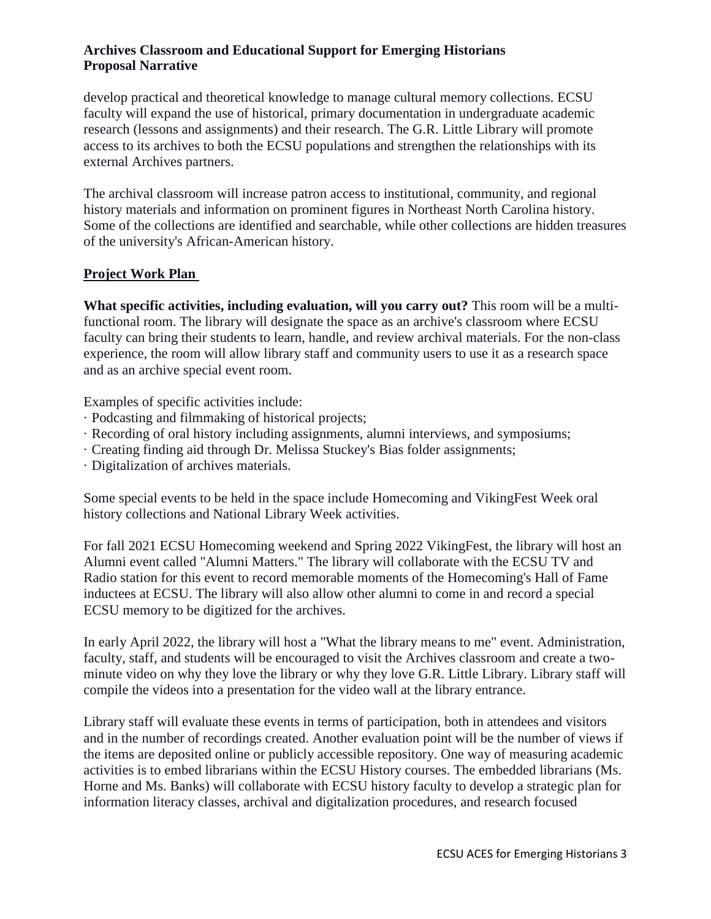develop practical and theoretical knowledge to manage cultural memory collections. ECSU faculty will expand the use of historical, primary documentation in undergraduate academic research (lessons and assignments) and their research. The G.R. Little Library will promote access to its archives to both the ECSU populations and strengthen the relationships with its external Archives partners.

The archival classroom will increase patron access to institutional, community, and regional history materials and information on prominent figures in Northeast North Carolina history. Some of the collections are identified and searchable, while other collections are hidden treasures of the university's African-American history.

#### **Project Work Plan**

**What specific activities, including evaluation, will you carry out?** This room will be a multifunctional room. The library will designate the space as an archive's classroom where ECSU faculty can bring their students to learn, handle, and review archival materials. For the non-class experience, the room will allow library staff and community users to use it as a research space and as an archive special event room.

Examples of specific activities include:

- · Podcasting and filmmaking of historical projects;
- · Recording of oral history including assignments, alumni interviews, and symposiums;
- · Creating finding aid through Dr. Melissa Stuckey's Bias folder assignments;
- · Digitalization of archives materials.

Some special events to be held in the space include Homecoming and VikingFest Week oral history collections and National Library Week activities.

For fall 2021 ECSU Homecoming weekend and Spring 2022 VikingFest, the library will host an Alumni event called "Alumni Matters." The library will collaborate with the ECSU TV and Radio station for this event to record memorable moments of the Homecoming's Hall of Fame inductees at ECSU. The library will also allow other alumni to come in and record a special ECSU memory to be digitized for the archives.

In early April 2022, the library will host a "What the library means to me" event. Administration, faculty, staff, and students will be encouraged to visit the Archives classroom and create a twominute video on why they love the library or why they love G.R. Little Library. Library staff will compile the videos into a presentation for the video wall at the library entrance.

Library staff will evaluate these events in terms of participation, both in attendees and visitors and in the number of recordings created. Another evaluation point will be the number of views if the items are deposited online or publicly accessible repository. One way of measuring academic activities is to embed librarians within the ECSU History courses. The embedded librarians (Ms. Horne and Ms. Banks) will collaborate with ECSU history faculty to develop a strategic plan for information literacy classes, archival and digitalization procedures, and research focused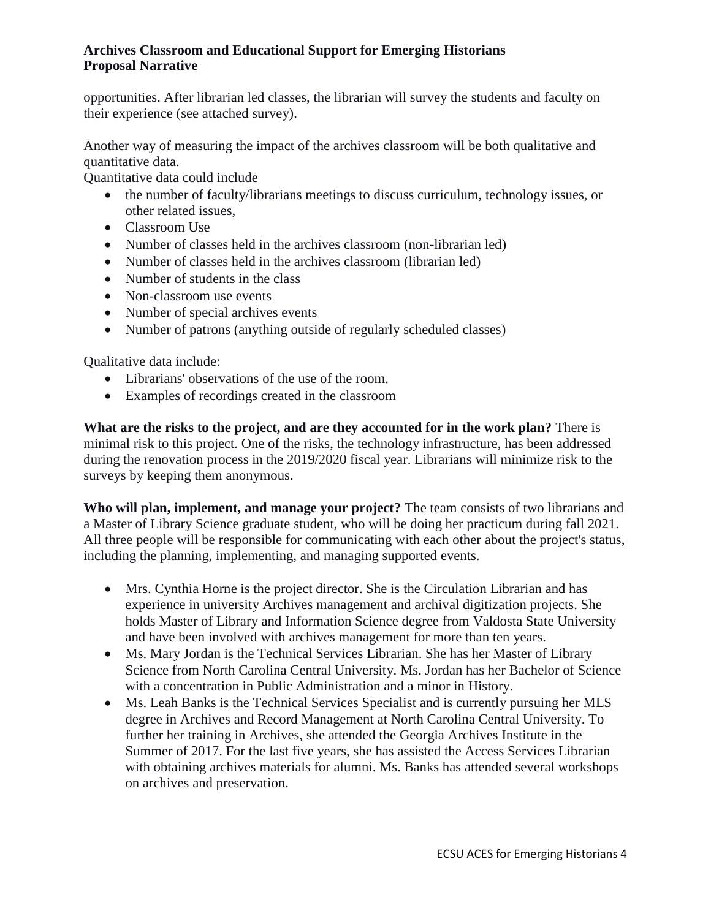opportunities. After librarian led classes, the librarian will survey the students and faculty on their experience (see attached survey).

Another way of measuring the impact of the archives classroom will be both qualitative and quantitative data.

Quantitative data could include

- the number of faculty/librarians meetings to discuss curriculum, technology issues, or other related issues,
- Classroom Use
- Number of classes held in the archives classroom (non-librarian led)
- Number of classes held in the archives classroom (librarian led)
- Number of students in the class
- Non-classroom use events
- Number of special archives events
- Number of patrons (anything outside of regularly scheduled classes)

Qualitative data include:

- Librarians' observations of the use of the room.
- Examples of recordings created in the classroom

**What are the risks to the project, and are they accounted for in the work plan?** There is minimal risk to this project. One of the risks, the technology infrastructure, has been addressed during the renovation process in the 2019/2020 fiscal year. Librarians will minimize risk to the surveys by keeping them anonymous.

**Who will plan, implement, and manage your project?** The team consists of two librarians and a Master of Library Science graduate student, who will be doing her practicum during fall 2021. All three people will be responsible for communicating with each other about the project's status, including the planning, implementing, and managing supported events.

- Mrs. Cynthia Horne is the project director. She is the Circulation Librarian and has experience in university Archives management and archival digitization projects. She holds Master of Library and Information Science degree from Valdosta State University and have been involved with archives management for more than ten years.
- Ms. Mary Jordan is the Technical Services Librarian. She has her Master of Library Science from North Carolina Central University. Ms. Jordan has her Bachelor of Science with a concentration in Public Administration and a minor in History.
- Ms. Leah Banks is the Technical Services Specialist and is currently pursuing her MLS degree in Archives and Record Management at North Carolina Central University. To further her training in Archives, she attended the Georgia Archives Institute in the Summer of 2017. For the last five years, she has assisted the Access Services Librarian with obtaining archives materials for alumni. Ms. Banks has attended several workshops on archives and preservation.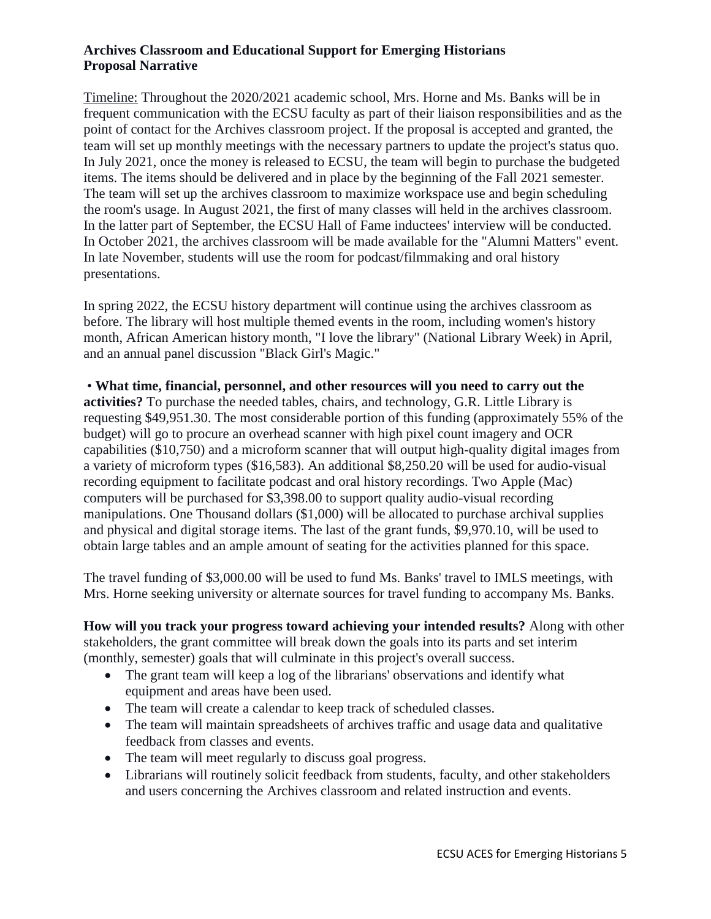Timeline: Throughout the 2020/2021 academic school, Mrs. Horne and Ms. Banks will be in frequent communication with the ECSU faculty as part of their liaison responsibilities and as the point of contact for the Archives classroom project. If the proposal is accepted and granted, the team will set up monthly meetings with the necessary partners to update the project's status quo. In July 2021, once the money is released to ECSU, the team will begin to purchase the budgeted items. The items should be delivered and in place by the beginning of the Fall 2021 semester. The team will set up the archives classroom to maximize workspace use and begin scheduling the room's usage. In August 2021, the first of many classes will held in the archives classroom. In the latter part of September, the ECSU Hall of Fame inductees' interview will be conducted. In October 2021, the archives classroom will be made available for the "Alumni Matters" event. In late November, students will use the room for podcast/filmmaking and oral history presentations.

In spring 2022, the ECSU history department will continue using the archives classroom as before. The library will host multiple themed events in the room, including women's history month, African American history month, "I love the library" (National Library Week) in April, and an annual panel discussion "Black Girl's Magic."

• **What time, financial, personnel, and other resources will you need to carry out the activities?** To purchase the needed tables, chairs, and technology, G.R. Little Library is requesting \$49,951.30. The most considerable portion of this funding (approximately 55% of the budget) will go to procure an overhead scanner with high pixel count imagery and OCR capabilities (\$10,750) and a microform scanner that will output high-quality digital images from a variety of microform types (\$16,583). An additional \$8,250.20 will be used for audio-visual recording equipment to facilitate podcast and oral history recordings. Two Apple (Mac) computers will be purchased for \$3,398.00 to support quality audio-visual recording manipulations. One Thousand dollars (\$1,000) will be allocated to purchase archival supplies and physical and digital storage items. The last of the grant funds, \$9,970.10, will be used to obtain large tables and an ample amount of seating for the activities planned for this space.

The travel funding of \$3,000.00 will be used to fund Ms. Banks' travel to IMLS meetings, with Mrs. Horne seeking university or alternate sources for travel funding to accompany Ms. Banks.

**How will you track your progress toward achieving your intended results?** Along with other stakeholders, the grant committee will break down the goals into its parts and set interim (monthly, semester) goals that will culminate in this project's overall success.

- The grant team will keep a log of the librarians' observations and identify what equipment and areas have been used.
- The team will create a calendar to keep track of scheduled classes.
- The team will maintain spreadsheets of archives traffic and usage data and qualitative feedback from classes and events.
- The team will meet regularly to discuss goal progress.
- Librarians will routinely solicit feedback from students, faculty, and other stakeholders and users concerning the Archives classroom and related instruction and events.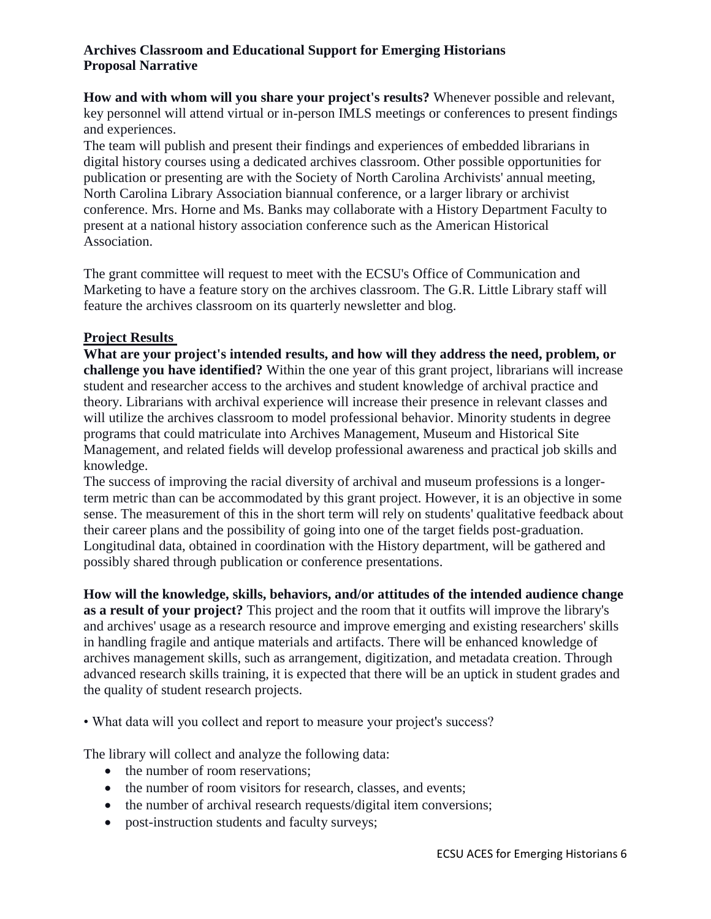**How and with whom will you share your project's results?** Whenever possible and relevant, key personnel will attend virtual or in-person IMLS meetings or conferences to present findings and experiences.

The team will publish and present their findings and experiences of embedded librarians in digital history courses using a dedicated archives classroom. Other possible opportunities for publication or presenting are with the Society of North Carolina Archivists' annual meeting, North Carolina Library Association biannual conference, or a larger library or archivist conference. Mrs. Horne and Ms. Banks may collaborate with a History Department Faculty to present at a national history association conference such as the American Historical Association.

The grant committee will request to meet with the ECSU's Office of Communication and Marketing to have a feature story on the archives classroom. The G.R. Little Library staff will feature the archives classroom on its quarterly newsletter and blog.

## **Project Results**

**What are your project's intended results, and how will they address the need, problem, or challenge you have identified?** Within the one year of this grant project, librarians will increase student and researcher access to the archives and student knowledge of archival practice and theory. Librarians with archival experience will increase their presence in relevant classes and will utilize the archives classroom to model professional behavior. Minority students in degree programs that could matriculate into Archives Management, Museum and Historical Site Management, and related fields will develop professional awareness and practical job skills and knowledge.

The success of improving the racial diversity of archival and museum professions is a longerterm metric than can be accommodated by this grant project. However, it is an objective in some sense. The measurement of this in the short term will rely on students' qualitative feedback about their career plans and the possibility of going into one of the target fields post-graduation. Longitudinal data, obtained in coordination with the History department, will be gathered and possibly shared through publication or conference presentations.

**How will the knowledge, skills, behaviors, and/or attitudes of the intended audience change as a result of your project?** This project and the room that it outfits will improve the library's and archives' usage as a research resource and improve emerging and existing researchers' skills in handling fragile and antique materials and artifacts. There will be enhanced knowledge of archives management skills, such as arrangement, digitization, and metadata creation. Through advanced research skills training, it is expected that there will be an uptick in student grades and the quality of student research projects.

• What data will you collect and report to measure your project's success?

The library will collect and analyze the following data:

- the number of room reservations;
- the number of room visitors for research, classes, and events;
- the number of archival research requests/digital item conversions;
- post-instruction students and faculty surveys;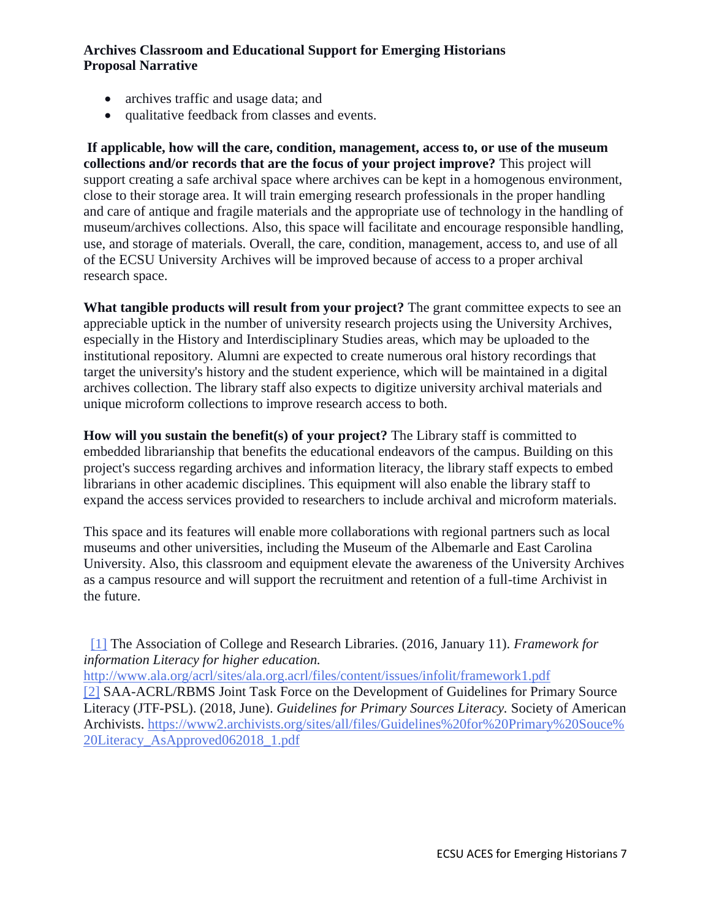- archives traffic and usage data; and
- qualitative feedback from classes and events.

**If applicable, how will the care, condition, management, access to, or use of the museum collections and/or records that are the focus of your project improve?** This project will support creating a safe archival space where archives can be kept in a homogenous environment, close to their storage area. It will train emerging research professionals in the proper handling and care of antique and fragile materials and the appropriate use of technology in the handling of museum/archives collections. Also, this space will facilitate and encourage responsible handling, use, and storage of materials. Overall, the care, condition, management, access to, and use of all of the ECSU University Archives will be improved because of access to a proper archival research space.

**What tangible products will result from your project?** The grant committee expects to see an appreciable uptick in the number of university research projects using the University Archives, especially in the History and Interdisciplinary Studies areas, which may be uploaded to the institutional repository. Alumni are expected to create numerous oral history recordings that target the university's history and the student experience, which will be maintained in a digital archives collection. The library staff also expects to digitize university archival materials and unique microform collections to improve research access to both.

**How will you sustain the benefit(s) of your project?** The Library staff is committed to embedded librarianship that benefits the educational endeavors of the campus. Building on this project's success regarding archives and information literacy, the library staff expects to embed librarians in other academic disciplines. This equipment will also enable the library staff to expand the access services provided to researchers to include archival and microform materials.

This space and its features will enable more collaborations with regional partners such as local museums and other universities, including the Museum of the Albemarle and East Carolina University. Also, this classroom and equipment elevate the awareness of the University Archives as a campus resource and will support the recruitment and retention of a full-time Archivist in the future.

 [1] The Association of College and Research Libraries. (2016, January 11). *Framework for information Literacy for higher education.*

<http://www.ala.org/acrl/sites/ala.org.acrl/files/content/issues/infolit/framework1.pdf>

[2] SAA-ACRL/RBMS Joint Task Force on the Development of Guidelines for Primary Source Literacy (JTF-PSL). (2018, June). *Guidelines for Primary Sources Literacy.* Society of American Archivists. [https://www2.archivists.org/sites/all/files/Guidelines%20for%20Primary%20Souce%](https://www2.archivists.org/sites/all/files/Guidelines%20for%20Primary%20Souce%20Literacy_AsApproved062018_1.pdf) [20Literacy\\_AsApproved062018\\_1.pdf](https://www2.archivists.org/sites/all/files/Guidelines%20for%20Primary%20Souce%20Literacy_AsApproved062018_1.pdf)